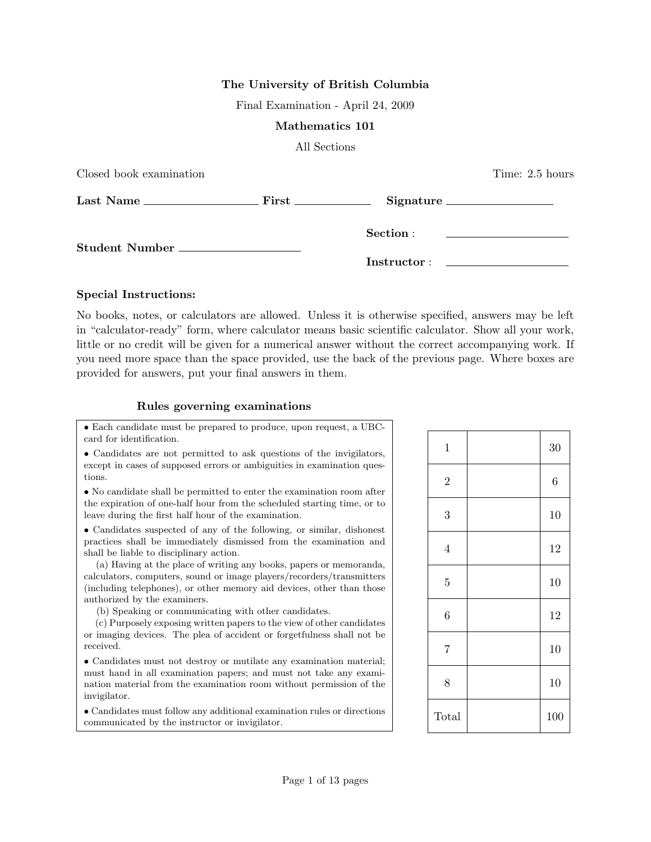## The University of British Columbia

Final Examination - April 24, 2009

#### Mathematics 101

All Sections

| Closed book examination |             | Time: 2.5 hours |
|-------------------------|-------------|-----------------|
|                         |             | Signature       |
| Student Number          |             |                 |
|                         | Instructor: |                 |

## Special Instructions:

No books, notes, or calculators are allowed. Unless it is otherwise specified, answers may be left in "calculator-ready" form, where calculator means basic scientific calculator. Show all your work, little or no credit will be given for a numerical answer without the correct accompanying work. If you need more space than the space provided, use the back of the previous page. Where boxes are provided for answers, put your final answers in them.

### Rules governing examinations

• Each candidate must be prepared to produce, upon request, a UBCcard for identification.

• Candidates are not permitted to ask questions of the invigilators, except in cases of supposed errors or ambiguities in examination questions.

• No candidate shall be permitted to enter the examination room after the expiration of one-half hour from the scheduled starting time, or to leave during the first half hour of the examination.

• Candidates suspected of any of the following, or similar, dishonest practices shall be immediately dismissed from the examination and shall be liable to disciplinary action.

(a) Having at the place of writing any books, papers or memoranda, calculators, computers, sound or image players/recorders/transmitters (including telephones), or other memory aid devices, other than those authorized by the examiners.

(b) Speaking or communicating with other candidates.

(c) Purposely exposing written papers to the view of other candidates or imaging devices. The plea of accident or forgetfulness shall not be received.

• Candidates must not destroy or mutilate any examination material; must hand in all examination papers; and must not take any examination material from the examination room without permission of the invigilator.

• Candidates must follow any additional examination rules or directions communicated by the instructor or invigilator.

| $\mathbf{1}$   | 30             |
|----------------|----------------|
| $\sqrt{2}$     | $\overline{6}$ |
| 3              | 10             |
| $\overline{4}$ | 12             |
| $\overline{5}$ | 10             |
| 6              | 12             |
| $\overline{7}$ | 10             |
| 8              | 10             |
| Total          | 100            |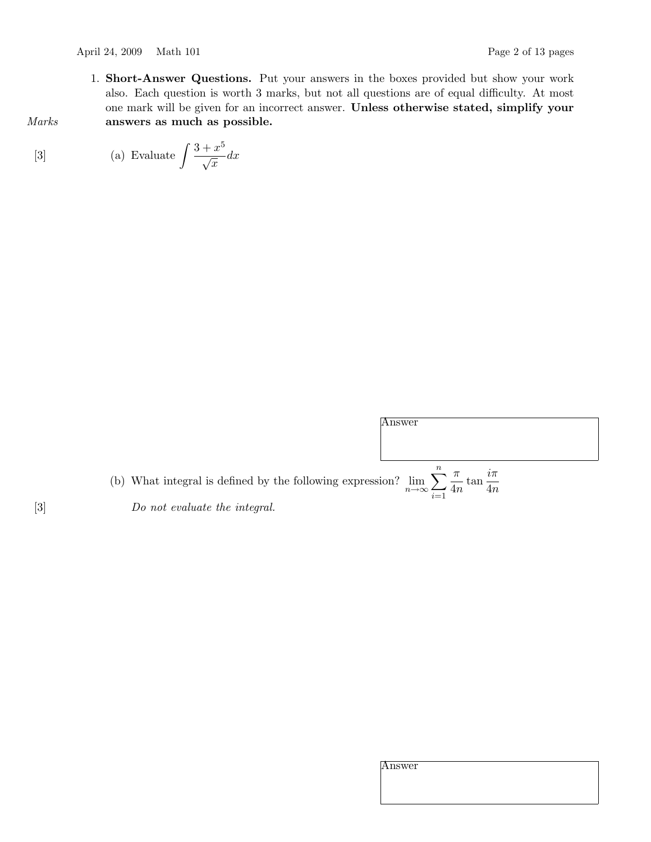1. Short-Answer Questions. Put your answers in the boxes provided but show your work also. Each question is worth 3 marks, but not all questions are of equal difficulty. At most one mark will be given for an incorrect answer. Unless otherwise stated, simplify your Marks answers as much as possible.

[3] (a) Evaluate 
$$
\int \frac{3+x^5}{\sqrt{x}} dx
$$

|                                                                                                                                   | Answer |
|-----------------------------------------------------------------------------------------------------------------------------------|--------|
|                                                                                                                                   |        |
|                                                                                                                                   |        |
|                                                                                                                                   |        |
| (b) What integral is defined by the following expression? $\lim_{n\to\infty}\sum_{i=1}^{\infty}\frac{\pi}{4n}\tan\frac{i\pi}{4n}$ |        |

 $i=1$ 

[3] Do not evaluate the integral.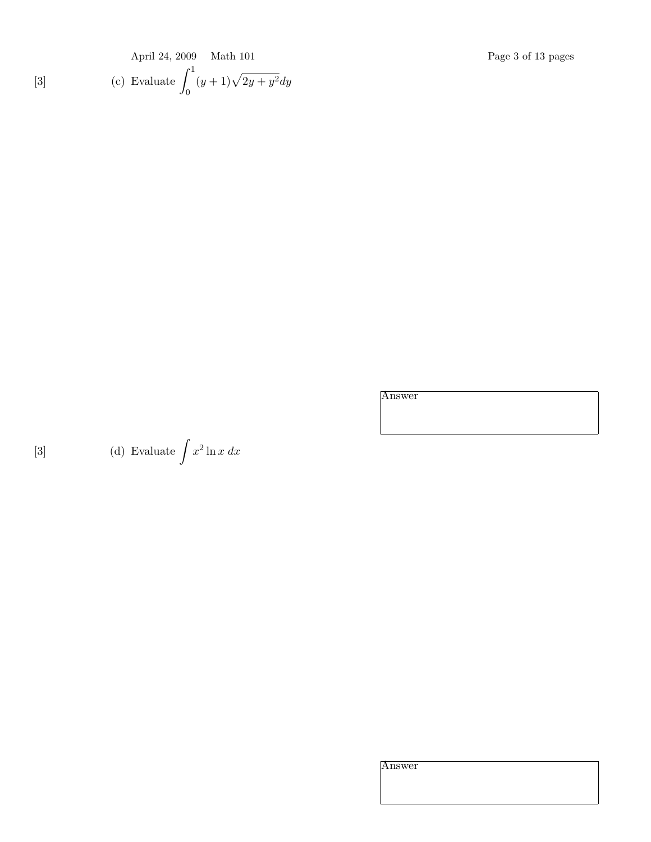April 24, 2009 Math 101 Page 3 of 13 pages  
\n(c) Evaluate 
$$
\int_0^1 (y+1)\sqrt{2y+y^2} dy
$$

Answer

[3] (d) Evaluate  $\int x^2 \ln x \ dx$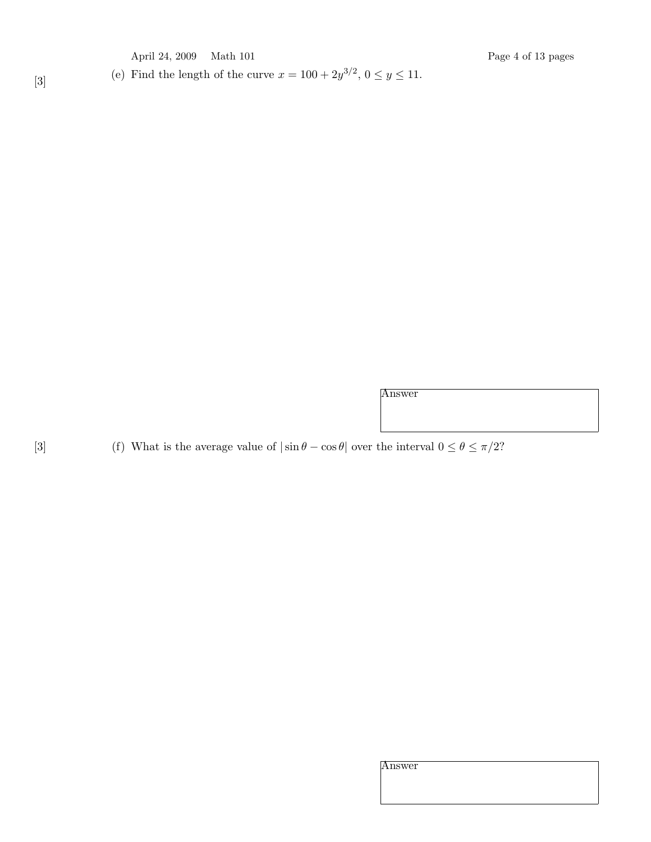April 24, 2009 Math 101 Page 4 of 13 pages

(a) Find the length of the curve  $x = 100 + 2y^{3/2}, 0 \le y \le 11$ .

Answer

[3] (f) What is the average value of  $|\sin \theta - \cos \theta|$  over the interval  $0 \le \theta \le \pi/2$ ?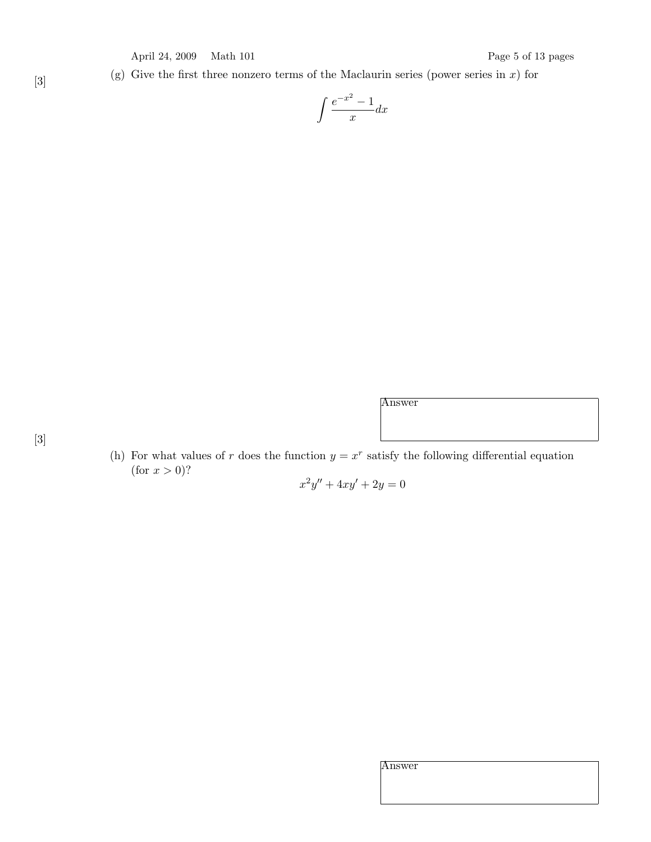(g) Give the first three nonzero terms of the Maclaurin series (power series in  $x$ ) for

$$
\int \frac{e^{-x^2} - 1}{x} dx
$$

- [3]
- (h) For what values of r does the function  $y = x^r$  satisfy the following differential equation (for  $x > 0$ )?

 $x^2y'' + 4xy' + 2y = 0$ 

Answer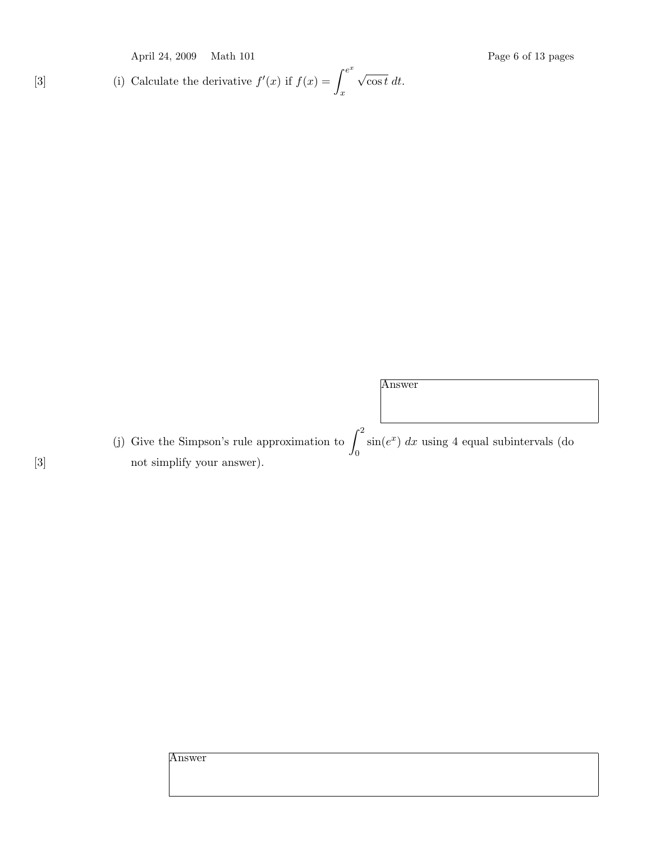[3] (i) Calculate the derivative 
$$
f'(x)
$$
 if  $f(x) = \int_x^{e^x} \sqrt{\cos t} dt$ .

(j) Give the Simpson's rule approximation to  $\int_0^2$ 0  $\sin(e^x) dx$  using 4 equal subintervals (do [3]  $\qquad \qquad$  not simplify your answer).

Answer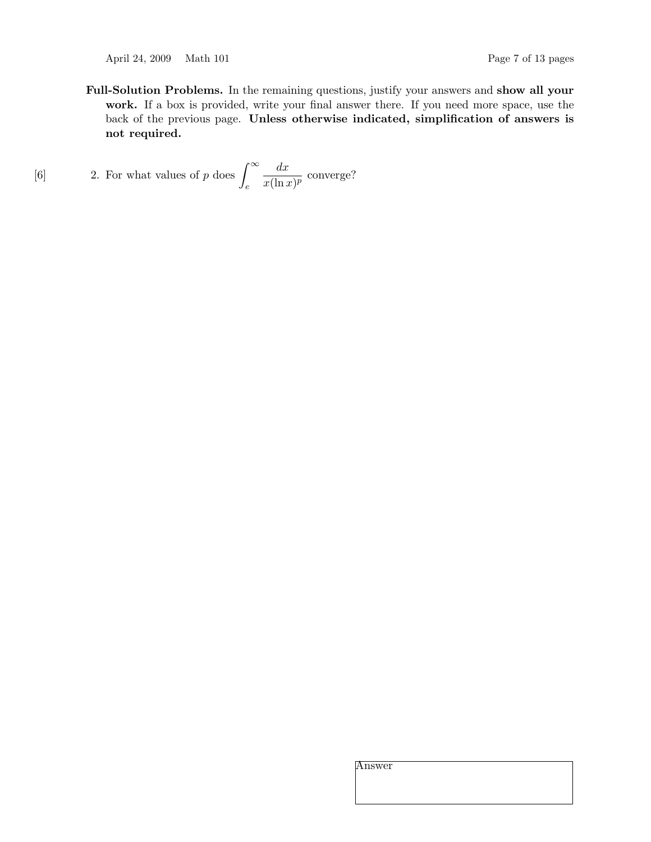April 24, 2009 Math 101 Page 7 of 13 pages

Full-Solution Problems. In the remaining questions, justify your answers and show all your work. If a box is provided, write your final answer there. If you need more space, use the back of the previous page. Unless otherwise indicated, simplification of answers is not required.

[6] 2. For what values of p does 
$$
\int_{e}^{\infty} \frac{dx}{x(\ln x)^p}
$$
 converge?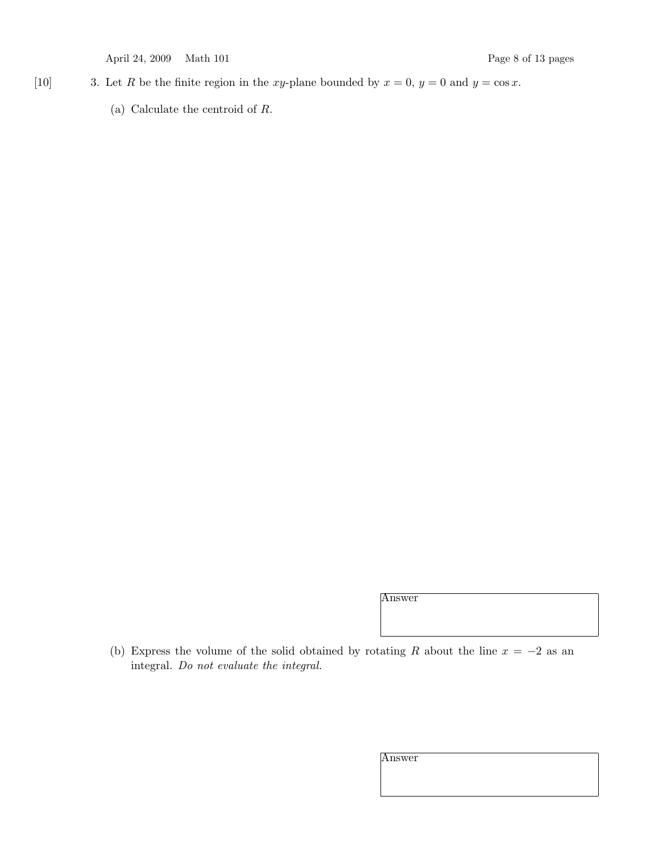April 24, 2009 Math 101 Page 8 of 13 pages

- [10] 3. Let R be the finite region in the xy-plane bounded by  $x = 0$ ,  $y = 0$  and  $y = \cos x$ .
	- (a) Calculate the centroid of R.

Answer

(b) Express the volume of the solid obtained by rotating R about the line  $x = -2$  as an integral. Do not evaluate the integral.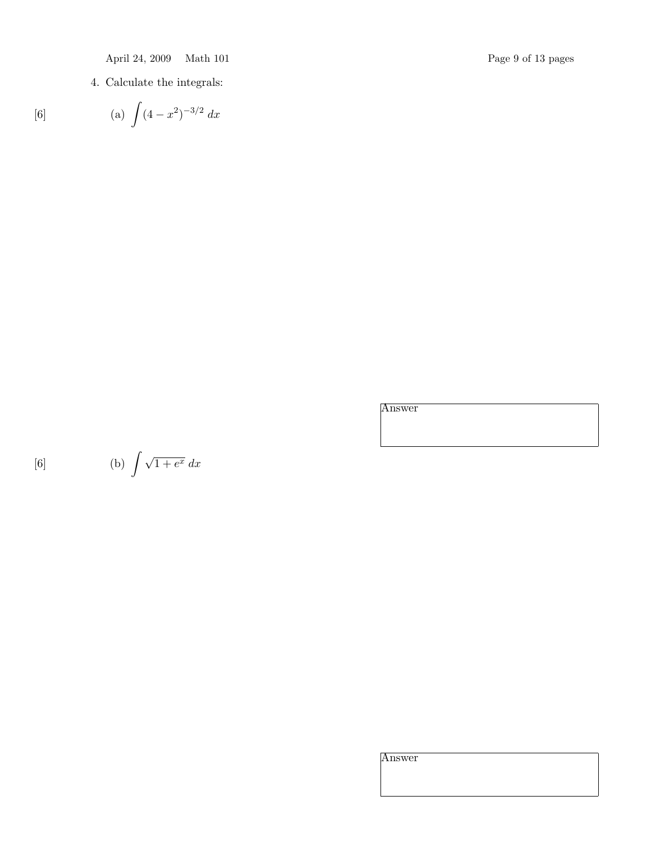April 24, 2009 Math 101 Page 9 of 13 pages

4. Calculate the integrals:

[6] (a) 
$$
\int (4 - x^2)^{-3/2} dx
$$

Answer

$$
[6] \qquad \qquad (b) \int \sqrt{1 + e^x} \, dx
$$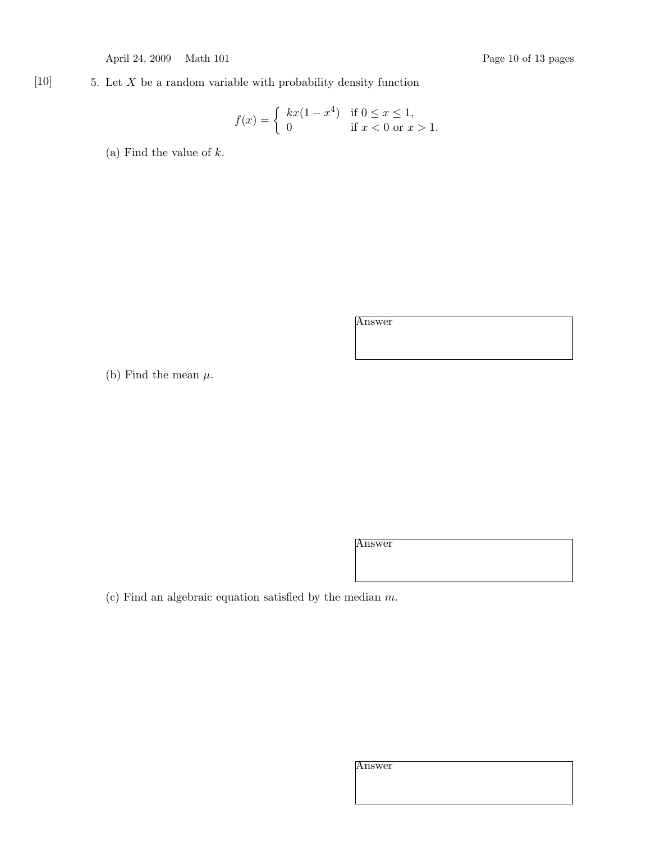April 24, 2009 Math 101 Page 10 of 13 pages

# $[10]$  5. Let X be a random variable with probability density function

$$
f(x) = \begin{cases} kx(1 - x^4) & \text{if } 0 \le x \le 1, \\ 0 & \text{if } x < 0 \text{ or } x > 1. \end{cases}
$$

(a) Find the value of  $k$ .

Answer

(b) Find the mean  $\mu$ .

Answer

(c) Find an algebraic equation satisfied by the median  $m$ .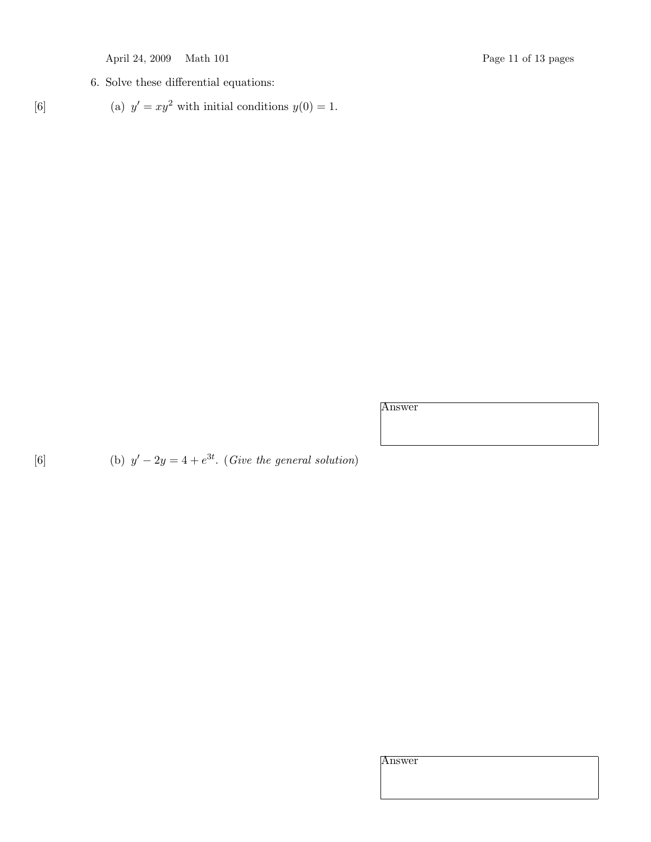6. Solve these differential equations:

$$
[6] \t\t (a) \t y' = xy^2 \t with initial conditions y(0) = 1.
$$

Answer

[6] (b)  $y' - 2y = 4 + e^{3t}$ . (Give the general solution)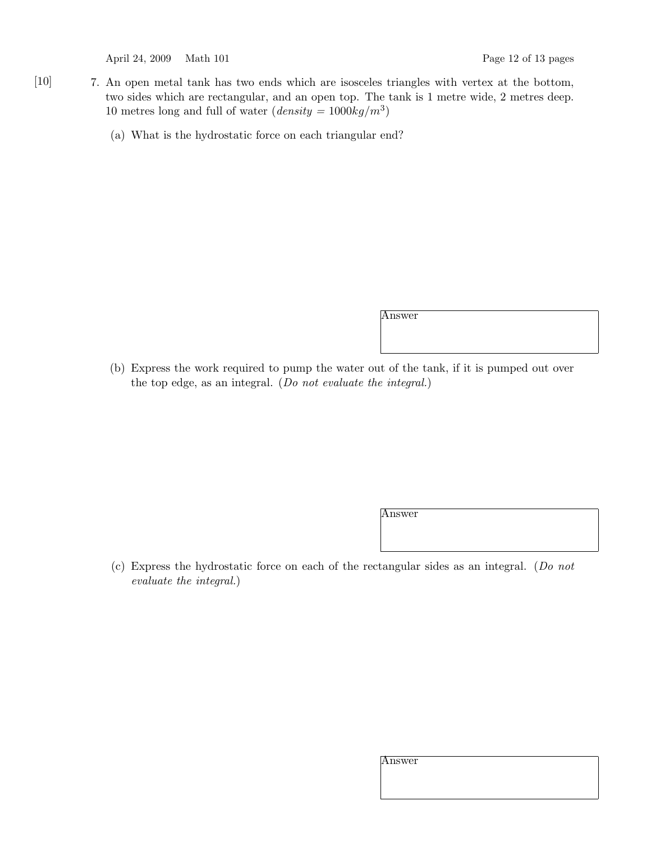April 24, 2009 Math 101 Page 12 of 13 pages

- [10] 7. An open metal tank has two ends which are isosceles triangles with vertex at the bottom, two sides which are rectangular, and an open top. The tank is 1 metre wide, 2 metres deep. 10 metres long and full of water  $(density = 1000kg/m^3)$ 
	- (a) What is the hydrostatic force on each triangular end?

Answer

(b) Express the work required to pump the water out of the tank, if it is pumped out over the top edge, as an integral. (Do not evaluate the integral.)

Answer

(c) Express the hydrostatic force on each of the rectangular sides as an integral. (Do not evaluate the integral.)